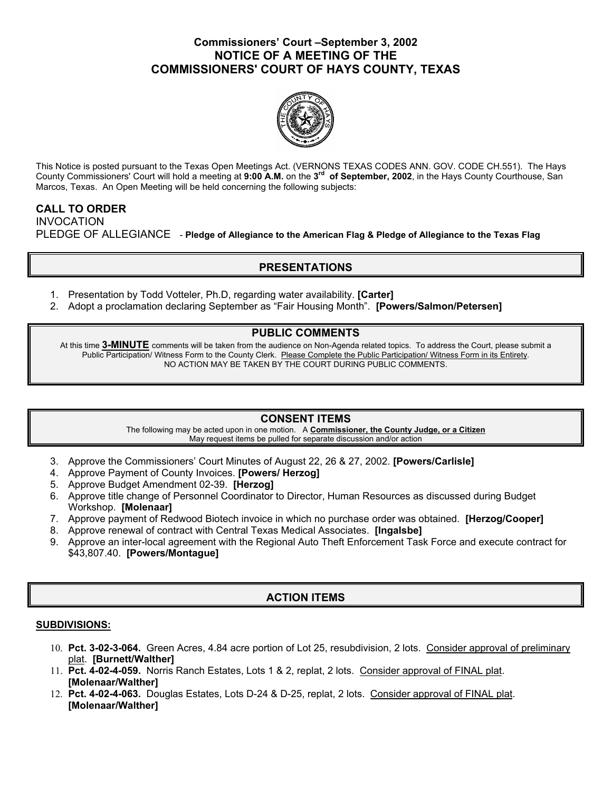## **Commissioners' Court –September 3, 2002 NOTICE OF A MEETING OF THE COMMISSIONERS' COURT OF HAYS COUNTY, TEXAS**



This Notice is posted pursuant to the Texas Open Meetings Act. (VERNONS TEXAS CODES ANN. GOV. CODE CH.551). The Hays County Commissioners' Court will hold a meeting at **9:00 A.M.** on the **3rd of September, 2002**, in the Hays County Courthouse, San Marcos, Texas. An Open Meeting will be held concerning the following subjects:

# **CALL TO ORDER**  INVOCATION PLEDGE OF ALLEGIANCE - **Pledge of Allegiance to the American Flag & Pledge of Allegiance to the Texas Flag**

# **PRESENTATIONS**

- 1. Presentation by Todd Votteler, Ph.D, regarding water availability. **[Carter]**
- 2. Adopt a proclamation declaring September as "Fair Housing Month". **[Powers/Salmon/Petersen]**

### **PUBLIC COMMENTS**

At this time **3-MINUTE** comments will be taken from the audience on Non-Agenda related topics. To address the Court, please submit a Public Participation/ Witness Form to the County Clerk. Please Complete the Public Participation/ Witness Form in its Entirety. NO ACTION MAY BE TAKEN BY THE COURT DURING PUBLIC COMMENTS.

### **CONSENT ITEMS**

The following may be acted upon in one motion. A **Commissioner, the County Judge, or a Citizen** May request items be pulled for separate discussion and/or action

- 3. Approve the Commissioners' Court Minutes of August 22, 26 & 27, 2002. **[Powers/Carlisle]**
- 4. Approve Payment of County Invoices. **[Powers/ Herzog]**
- 5. Approve Budget Amendment 02-39. **[Herzog]**
- 6. Approve title change of Personnel Coordinator to Director, Human Resources as discussed during Budget Workshop. **[Molenaar]**
- 7. Approve payment of Redwood Biotech invoice in which no purchase order was obtained. **[Herzog/Cooper]**
- 8. Approve renewal of contract with Central Texas Medical Associates. **[Ingalsbe]**
- 9. Approve an inter-local agreement with the Regional Auto Theft Enforcement Task Force and execute contract for \$43,807.40. **[Powers/Montague]**

# **ACTION ITEMS**

#### **SUBDIVISIONS:**

- 10. **Pct. 3-02-3-064.** Green Acres, 4.84 acre portion of Lot 25, resubdivision, 2 lots. Consider approval of preliminary plat. **[Burnett/Walther]**
- 11. **Pct. 4-02-4-059.** Norris Ranch Estates, Lots 1 & 2, replat, 2 lots. Consider approval of FINAL plat. **[Molenaar/Walther]**
- 12. **Pct. 4-02-4-063.** Douglas Estates, Lots D-24 & D-25, replat, 2 lots. Consider approval of FINAL plat. **[Molenaar/Walther]**